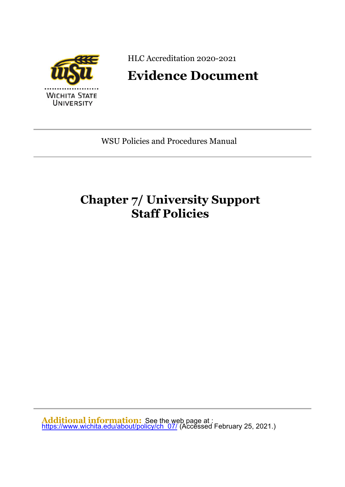

HLC Accreditation 2020-2021

# **Evidence Document**

WSU Policies and Procedures Manual

# **Chapter 7/ University Support Staff Policies**

**Additional information:** See the web page at : <u>[https://www.wichita.edu/about/policy/ch\\_07/](https://www.wichita.edu/about/policy/ch_07/)</u> (Accĕssed February 25, 2021.)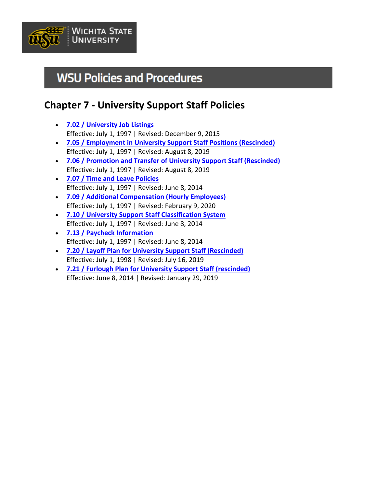

# **WSU Policies and Procedures**

# **Chapter 7 - University Support Staff Policies**

- **[7.02 / University Job Listings](https://www.wichita.edu/about/policy/ch_07/ch7_02.php)** Effective: July 1, 1997 | Revised: December 9, 2015
- **[7.05 / Employment in University Support Staff Positions \(Rescinded\)](https://www.wichita.edu/about/policy/ch_07/ch7_05.php)** Effective: July 1, 1997 | Revised: August 8, 2019
- **[7.06 / Promotion and Transfer of University Support Staff \(Rescinded\)](https://www.wichita.edu/about/policy/ch_07/ch7_06.php)** Effective: July 1, 1997 | Revised: August 8, 2019
- **[7.07 / Time and Leave Policies](https://www.wichita.edu/about/policy/ch_07/ch7_07.php)** Effective: July 1, 1997 | Revised: June 8, 2014
- **[7.09 / Additional Compensation \(Hourly Employees\)](https://www.wichita.edu/about/policy/ch_07/ch7_09.php)** Effective: July 1, 1997 | Revised: February 9, 2020
- **[7.10 / University Support Staff Classification System](https://www.wichita.edu/about/policy/ch_07/ch7_10.php)** Effective: July 1, 1997 | Revised: June 8, 2014
- **[7.13 / Paycheck Information](https://www.wichita.edu/about/policy/ch_07/ch7_13.php)** Effective: July 1, 1997 | Revised: June 8, 2014
- **[7.20 / Layoff Plan for University Support Staff \(Rescinded\)](https://www.wichita.edu/about/policy/ch_07/ch7_20.php)** Effective: July 1, 1998 | Revised: July 16, 2019
- **[7.21 / Furlough Plan for University Support Staff \(rescinded\)](https://www.wichita.edu/about/policy/ch_07/ch7_21.php)** Effective: June 8, 2014 | Revised: January 29, 2019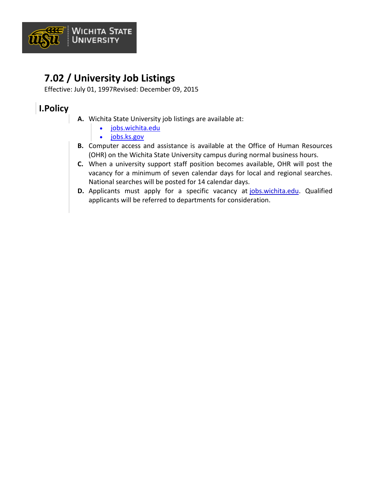

# **7.02 / University Job Listings**

Effective: July 01, 1997Revised: December 09, 2015

### **I.Policy**

- **A.** Wichita State University job listings are available at:
	- [jobs.wichita.edu](https://jobs.wichita.edu/)
	- [jobs.ks.gov](https://admin.ks.gov/services/state-employment-center/)
- **B.** Computer access and assistance is available at the Office of Human Resources (OHR) on the Wichita State University campus during normal business hours.
- **C.** When a university support staff position becomes available, OHR will post the vacancy for a minimum of seven calendar days for local and regional searches. National searches will be posted for 14 calendar days.
- **D.** Applicants must apply for a specific vacancy at [jobs.wichita.edu.](https://jobs.wichita.edu/) Qualified applicants will be referred to departments for consideration.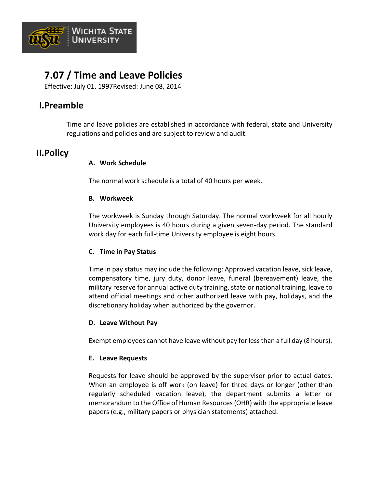

# **7.07 / Time and Leave Policies**

Effective: July 01, 1997Revised: June 08, 2014

### **I.Preamble**

Time and leave policies are established in accordance with federal, state and University regulations and policies and are subject to review and audit.

### **II.Policy**

### **A. Work Schedule**

The normal work schedule is a total of 40 hours per week.

### **B. Workweek**

The workweek is Sunday through Saturday. The normal workweek for all hourly University employees is 40 hours during a given seven-day period. The standard work day for each full-time University employee is eight hours.

### **C. Time in Pay Status**

Time in pay status may include the following: Approved vacation leave, sick leave, compensatory time, jury duty, donor leave, funeral (bereavement) leave, the military reserve for annual active duty training, state or national training, leave to attend official meetings and other authorized leave with pay, holidays, and the discretionary holiday when authorized by the governor.

### **D. Leave Without Pay**

Exempt employees cannot have leave without pay for less than a full day (8 hours).

### **E. Leave Requests**

Requests for leave should be approved by the supervisor prior to actual dates. When an employee is off work (on leave) for three days or longer (other than regularly scheduled vacation leave), the department submits a letter or memorandum to the Office of Human Resources (OHR) with the appropriate leave papers (e.g., military papers or physician statements) attached.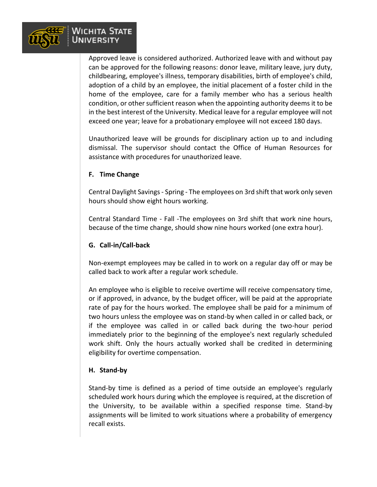

Approved leave is considered authorized. Authorized leave with and without pay can be approved for the following reasons: donor leave, military leave, jury duty, childbearing, employee's illness, temporary disabilities, birth of employee's child, adoption of a child by an employee, the initial placement of a foster child in the home of the employee, care for a family member who has a serious health condition, or other sufficient reason when the appointing authority deems it to be in the best interest of the University. Medical leave for a regular employee will not exceed one year; leave for a probationary employee will not exceed 180 days.

Unauthorized leave will be grounds for disciplinary action up to and including dismissal. The supervisor should contact the Office of Human Resources for assistance with procedures for unauthorized leave.

#### **F. Time Change**

Central Daylight Savings - Spring - The employees on 3rd shift that work only seven hours should show eight hours working.

Central Standard Time - Fall -The employees on 3rd shift that work nine hours, because of the time change, should show nine hours worked (one extra hour).

#### **G. Call-in/Call-back**

Non-exempt employees may be called in to work on a regular day off or may be called back to work after a regular work schedule.

An employee who is eligible to receive overtime will receive compensatory time, or if approved, in advance, by the budget officer, will be paid at the appropriate rate of pay for the hours worked. The employee shall be paid for a minimum of two hours unless the employee was on stand-by when called in or called back, or if the employee was called in or called back during the two-hour period immediately prior to the beginning of the employee's next regularly scheduled work shift. Only the hours actually worked shall be credited in determining eligibility for overtime compensation.

#### **H. Stand-by**

Stand-by time is defined as a period of time outside an employee's regularly scheduled work hours during which the employee is required, at the discretion of the University, to be available within a specified response time. Stand-by assignments will be limited to work situations where a probability of emergency recall exists.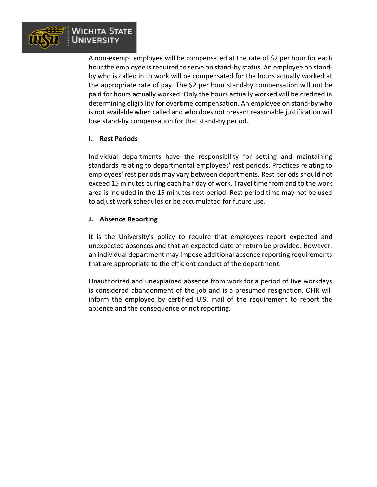

A non-exempt employee will be compensated at the rate of \$2 per hour for each hour the employee is required to serve on stand-by status. An employee on standby who is called in to work will be compensated for the hours actually worked at the appropriate rate of pay. The \$2 per hour stand-by compensation will not be paid for hours actually worked. Only the hours actually worked will be credited in determining eligibility for overtime compensation. An employee on stand-by who is not available when called and who does not present reasonable justification will lose stand-by compensation for that stand-by period.

#### **I. Rest Periods**

Individual departments have the responsibility for setting and maintaining standards relating to departmental employees' rest periods. Practices relating to employees' rest periods may vary between departments. Rest periods should not exceed 15 minutes during each half day of work. Travel time from and to the work area is included in the 15 minutes rest period. Rest period time may not be used to adjust work schedules or be accumulated for future use.

#### **J. Absence Reporting**

It is the University's policy to require that employees report expected and unexpected absences and that an expected date of return be provided. However, an individual department may impose additional absence reporting requirements that are appropriate to the efficient conduct of the department.

Unauthorized and unexplained absence from work for a period of five workdays is considered abandonment of the job and is a presumed resignation. OHR will inform the employee by certified U.S. mail of the requirement to report the absence and the consequence of not reporting.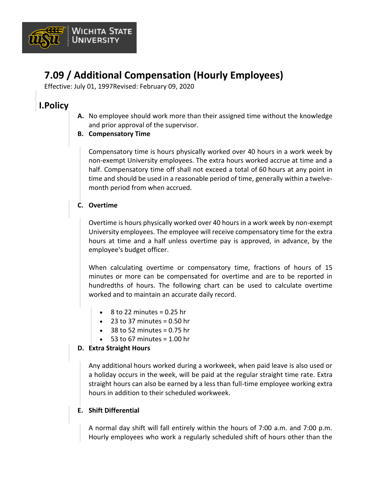

# **7.09 / Additional Compensation (Hourly Employees)**

Effective: July 01, 1997Revised: February 09, 2020

### **I.Policy**

- **A.** No employee should work more than their assigned time without the knowledge and prior approval of the supervisor.
- **B. Compensatory Time**

Compensatory time is hours physically worked over 40 hours in a work week by non-exempt University employees. The extra hours worked accrue at time and a half. Compensatory time off shall not exceed a total of 60 hours at any point in time and should be used in a reasonable period of time, generally within a twelvemonth period from when accrued.

### **C. Overtime**

Overtime is hours physically worked over 40 hours in a work week by non-exempt University employees. The employee will receive compensatory time for the extra hours at time and a half unless overtime pay is approved, in advance, by the employee's budget officer.

When calculating overtime or compensatory time, fractions of hours of 15 minutes or more can be compensated for overtime and are to be reported in hundredths of hours. The following chart can be used to calculate overtime worked and to maintain an accurate daily record.

- $\cdot$  8 to 22 minutes = 0.25 hr
- $\bullet$  23 to 37 minutes = 0.50 hr
- $\bullet$  38 to 52 minutes = 0.75 hr
- $\bullet$  53 to 67 minutes = 1.00 hr

### **D. Extra Straight Hours**

Any additional hours worked during a workweek, when paid leave is also used or a holiday occurs in the week, will be paid at the regular straight time rate. Extra straight hours can also be earned by a less than full-time employee working extra hours in addition to their scheduled workweek.

### **E. Shift Differential**

A normal day shift will fall entirely within the hours of 7:00 a.m. and 7:00 p.m. Hourly employees who work a regularly scheduled shift of hours other than the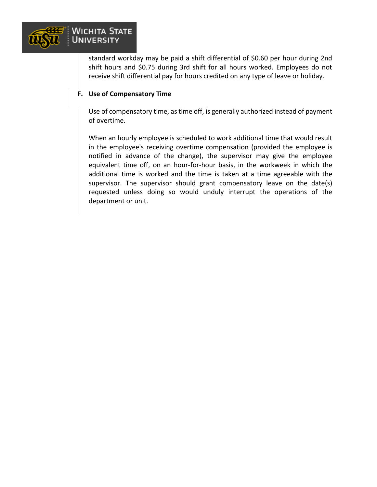

standard workday may be paid a shift differential of \$0.60 per hour during 2nd shift hours and \$0.75 during 3rd shift for all hours worked. Employees do not receive shift differential pay for hours credited on any type of leave or holiday.

#### **F. Use of Compensatory Time**

Use of compensatory time, as time off, is generally authorized instead of payment of overtime.

When an hourly employee is scheduled to work additional time that would result in the employee's receiving overtime compensation (provided the employee is notified in advance of the change), the supervisor may give the employee equivalent time off, on an hour-for-hour basis, in the workweek in which the additional time is worked and the time is taken at a time agreeable with the supervisor. The supervisor should grant compensatory leave on the date(s) requested unless doing so would unduly interrupt the operations of the department or unit.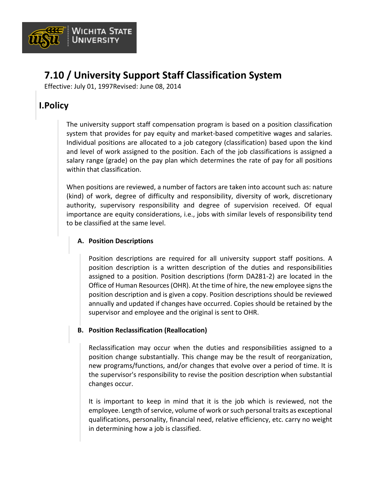

## **7.10 / University Support Staff Classification System**

Effective: July 01, 1997Revised: June 08, 2014

### **I.Policy**

The university support staff compensation program is based on a position classification system that provides for pay equity and market-based competitive wages and salaries. Individual positions are allocated to a job category (classification) based upon the kind and level of work assigned to the position. Each of the job classifications is assigned a salary range (grade) on the pay plan which determines the rate of pay for all positions within that classification.

When positions are reviewed, a number of factors are taken into account such as: nature (kind) of work, degree of difficulty and responsibility, diversity of work, discretionary authority, supervisory responsibility and degree of supervision received. Of equal importance are equity considerations, i.e., jobs with similar levels of responsibility tend to be classified at the same level.

### **A. Position Descriptions**

Position descriptions are required for all university support staff positions. A position description is a written description of the duties and responsibilities assigned to a position. Position descriptions (form DA281-2) are located in the Office of Human Resources (OHR). At the time of hire, the new employee signs the position description and is given a copy. Position descriptions should be reviewed annually and updated if changes have occurred. Copies should be retained by the supervisor and employee and the original is sent to OHR.

### **B. Position Reclassification (Reallocation)**

Reclassification may occur when the duties and responsibilities assigned to a position change substantially. This change may be the result of reorganization, new programs/functions, and/or changes that evolve over a period of time. It is the supervisor's responsibility to revise the position description when substantial changes occur.

It is important to keep in mind that it is the job which is reviewed, not the employee. Length of service, volume of work or such personal traits as exceptional qualifications, personality, financial need, relative efficiency, etc. carry no weight in determining how a job is classified.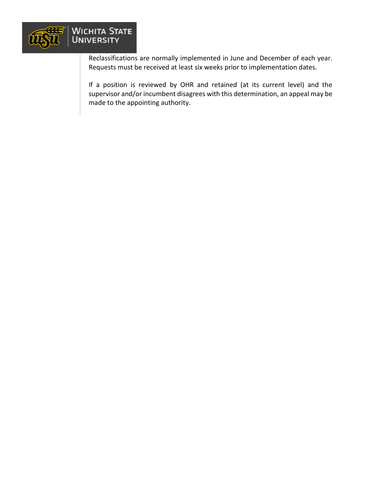

Reclassifications are normally implemented in June and December of each year. Requests must be received at least six weeks prior to implementation dates.

If a position is reviewed by OHR and retained (at its current level) and the supervisor and/or incumbent disagrees with this determination, an appeal may be made to the appointing authority.